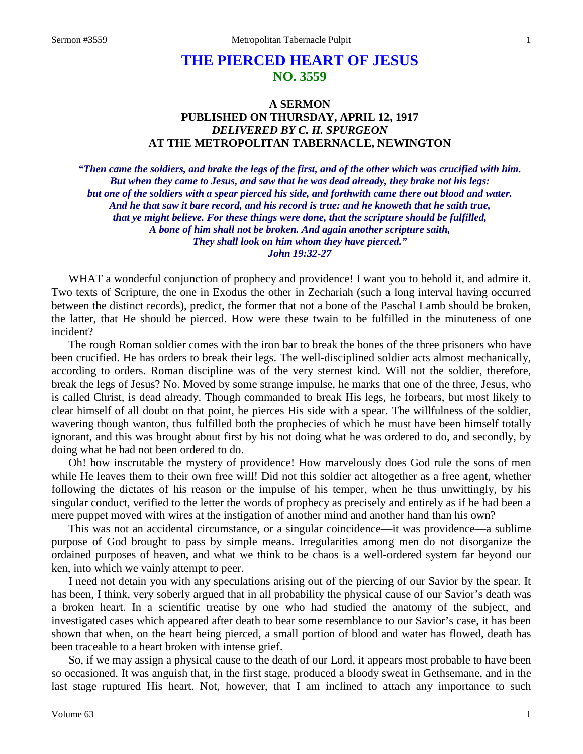# **THE PIERCED HEART OF JESUS NO. 3559**

# **A SERMON PUBLISHED ON THURSDAY, APRIL 12, 1917** *DELIVERED BY C. H. SPURGEON* **AT THE METROPOLITAN TABERNACLE, NEWINGTON**

*"Then came the soldiers, and brake the legs of the first, and of the other which was crucified with him. But when they came to Jesus, and saw that he was dead already, they brake not his legs: but one of the soldiers with a spear pierced his side, and forthwith came there out blood and water. And he that saw it bare record, and his record is true: and he knoweth that he saith true, that ye might believe. For these things were done, that the scripture should be fulfilled, A bone of him shall not be broken. And again another scripture saith, They shall look on him whom they have pierced." John 19:32-27*

WHAT a wonderful conjunction of prophecy and providence! I want you to behold it, and admire it. Two texts of Scripture, the one in Exodus the other in Zechariah (such a long interval having occurred between the distinct records), predict, the former that not a bone of the Paschal Lamb should be broken, the latter, that He should be pierced. How were these twain to be fulfilled in the minuteness of one incident?

The rough Roman soldier comes with the iron bar to break the bones of the three prisoners who have been crucified. He has orders to break their legs. The well-disciplined soldier acts almost mechanically, according to orders. Roman discipline was of the very sternest kind. Will not the soldier, therefore, break the legs of Jesus? No. Moved by some strange impulse, he marks that one of the three, Jesus, who is called Christ, is dead already. Though commanded to break His legs, he forbears, but most likely to clear himself of all doubt on that point, he pierces His side with a spear. The willfulness of the soldier, wavering though wanton, thus fulfilled both the prophecies of which he must have been himself totally ignorant, and this was brought about first by his not doing what he was ordered to do, and secondly, by doing what he had not been ordered to do.

Oh! how inscrutable the mystery of providence! How marvelously does God rule the sons of men while He leaves them to their own free will! Did not this soldier act altogether as a free agent, whether following the dictates of his reason or the impulse of his temper, when he thus unwittingly, by his singular conduct, verified to the letter the words of prophecy as precisely and entirely as if he had been a mere puppet moved with wires at the instigation of another mind and another hand than his own?

This was not an accidental circumstance, or a singular coincidence—it was providence—a sublime purpose of God brought to pass by simple means. Irregularities among men do not disorganize the ordained purposes of heaven, and what we think to be chaos is a well-ordered system far beyond our ken, into which we vainly attempt to peer.

I need not detain you with any speculations arising out of the piercing of our Savior by the spear. It has been, I think, very soberly argued that in all probability the physical cause of our Savior's death was a broken heart. In a scientific treatise by one who had studied the anatomy of the subject, and investigated cases which appeared after death to bear some resemblance to our Savior's case, it has been shown that when, on the heart being pierced, a small portion of blood and water has flowed, death has been traceable to a heart broken with intense grief.

So, if we may assign a physical cause to the death of our Lord, it appears most probable to have been so occasioned. It was anguish that, in the first stage, produced a bloody sweat in Gethsemane, and in the last stage ruptured His heart. Not, however, that I am inclined to attach any importance to such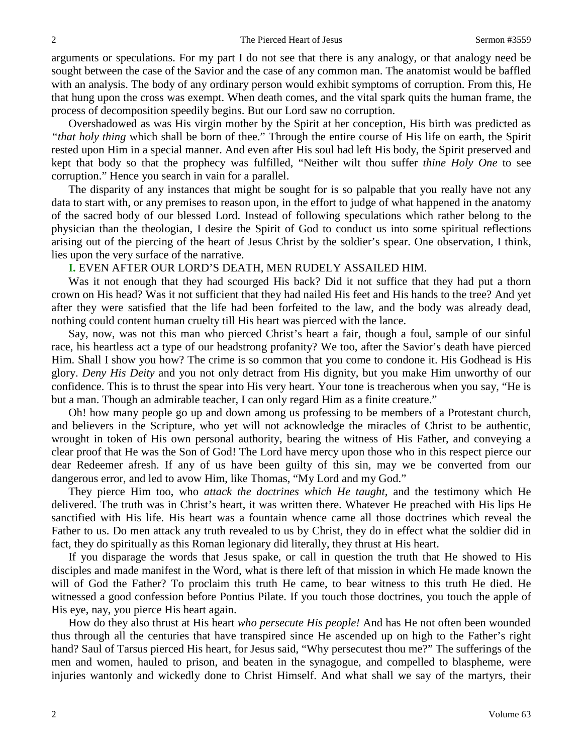arguments or speculations. For my part I do not see that there is any analogy, or that analogy need be sought between the case of the Savior and the case of any common man. The anatomist would be baffled with an analysis. The body of any ordinary person would exhibit symptoms of corruption. From this, He that hung upon the cross was exempt. When death comes, and the vital spark quits the human frame, the process of decomposition speedily begins. But our Lord saw no corruption.

Overshadowed as was His virgin mother by the Spirit at her conception, His birth was predicted as *"that holy thing* which shall be born of thee." Through the entire course of His life on earth, the Spirit rested upon Him in a special manner. And even after His soul had left His body, the Spirit preserved and kept that body so that the prophecy was fulfilled, "Neither wilt thou suffer *thine Holy One* to see corruption." Hence you search in vain for a parallel.

The disparity of any instances that might be sought for is so palpable that you really have not any data to start with, or any premises to reason upon, in the effort to judge of what happened in the anatomy of the sacred body of our blessed Lord. Instead of following speculations which rather belong to the physician than the theologian, I desire the Spirit of God to conduct us into some spiritual reflections arising out of the piercing of the heart of Jesus Christ by the soldier's spear. One observation, I think, lies upon the very surface of the narrative.

## **I.** EVEN AFTER OUR LORD'S DEATH, MEN RUDELY ASSAILED HIM.

Was it not enough that they had scourged His back? Did it not suffice that they had put a thorn crown on His head? Was it not sufficient that they had nailed His feet and His hands to the tree? And yet after they were satisfied that the life had been forfeited to the law, and the body was already dead, nothing could content human cruelty till His heart was pierced with the lance.

Say, now, was not this man who pierced Christ's heart a fair, though a foul, sample of our sinful race, his heartless act a type of our headstrong profanity? We too, after the Savior's death have pierced Him. Shall I show you how? The crime is so common that you come to condone it. His Godhead is His glory. *Deny His Deity* and you not only detract from His dignity, but you make Him unworthy of our confidence. This is to thrust the spear into His very heart. Your tone is treacherous when you say, "He is but a man. Though an admirable teacher, I can only regard Him as a finite creature."

Oh! how many people go up and down among us professing to be members of a Protestant church, and believers in the Scripture, who yet will not acknowledge the miracles of Christ to be authentic, wrought in token of His own personal authority, bearing the witness of His Father, and conveying a clear proof that He was the Son of God! The Lord have mercy upon those who in this respect pierce our dear Redeemer afresh. If any of us have been guilty of this sin, may we be converted from our dangerous error, and led to avow Him, like Thomas, "My Lord and my God."

They pierce Him too, who *attack the doctrines which He taught,* and the testimony which He delivered. The truth was in Christ's heart, it was written there. Whatever He preached with His lips He sanctified with His life. His heart was a fountain whence came all those doctrines which reveal the Father to us. Do men attack any truth revealed to us by Christ, they do in effect what the soldier did in fact, they do spiritually as this Roman legionary did literally, they thrust at His heart.

If you disparage the words that Jesus spake, or call in question the truth that He showed to His disciples and made manifest in the Word, what is there left of that mission in which He made known the will of God the Father? To proclaim this truth He came, to bear witness to this truth He died. He witnessed a good confession before Pontius Pilate. If you touch those doctrines, you touch the apple of His eye, nay, you pierce His heart again.

How do they also thrust at His heart *who persecute His people!* And has He not often been wounded thus through all the centuries that have transpired since He ascended up on high to the Father's right hand? Saul of Tarsus pierced His heart, for Jesus said, "Why persecutest thou me?" The sufferings of the men and women, hauled to prison, and beaten in the synagogue, and compelled to blaspheme, were injuries wantonly and wickedly done to Christ Himself. And what shall we say of the martyrs, their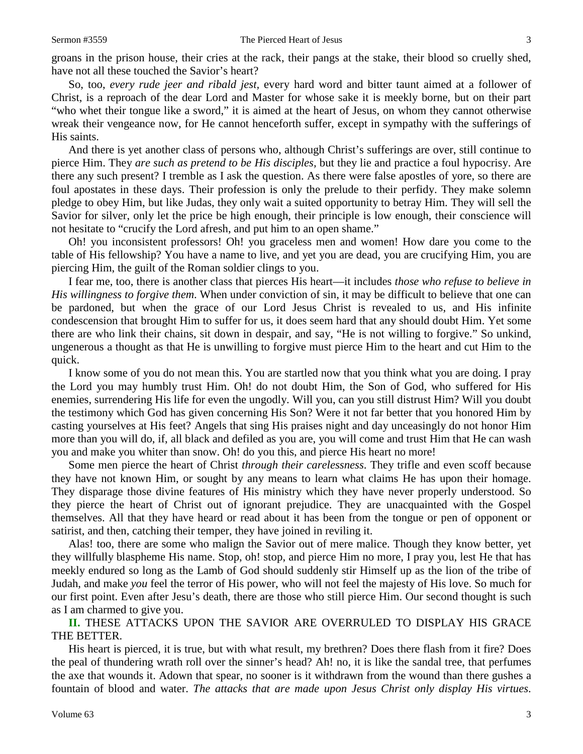groans in the prison house, their cries at the rack, their pangs at the stake, their blood so cruelly shed, have not all these touched the Savior's heart?

So, too, *every rude jeer and ribald jest,* every hard word and bitter taunt aimed at a follower of Christ, is a reproach of the dear Lord and Master for whose sake it is meekly borne, but on their part "who whet their tongue like a sword," it is aimed at the heart of Jesus, on whom they cannot otherwise wreak their vengeance now, for He cannot henceforth suffer, except in sympathy with the sufferings of His saints.

And there is yet another class of persons who, although Christ's sufferings are over, still continue to pierce Him. They *are such as pretend to be His disciples,* but they lie and practice a foul hypocrisy. Are there any such present? I tremble as I ask the question. As there were false apostles of yore, so there are foul apostates in these days. Their profession is only the prelude to their perfidy. They make solemn pledge to obey Him, but like Judas, they only wait a suited opportunity to betray Him. They will sell the Savior for silver, only let the price be high enough, their principle is low enough, their conscience will not hesitate to "crucify the Lord afresh, and put him to an open shame."

Oh! you inconsistent professors! Oh! you graceless men and women! How dare you come to the table of His fellowship? You have a name to live, and yet you are dead, you are crucifying Him, you are piercing Him, the guilt of the Roman soldier clings to you.

I fear me, too, there is another class that pierces His heart—it includes *those who refuse to believe in His willingness to forgive them*. When under conviction of sin, it may be difficult to believe that one can be pardoned, but when the grace of our Lord Jesus Christ is revealed to us, and His infinite condescension that brought Him to suffer for us, it does seem hard that any should doubt Him. Yet some there are who link their chains, sit down in despair, and say, "He is not willing to forgive." So unkind, ungenerous a thought as that He is unwilling to forgive must pierce Him to the heart and cut Him to the quick.

I know some of you do not mean this. You are startled now that you think what you are doing. I pray the Lord you may humbly trust Him. Oh! do not doubt Him, the Son of God, who suffered for His enemies, surrendering His life for even the ungodly. Will you, can you still distrust Him? Will you doubt the testimony which God has given concerning His Son? Were it not far better that you honored Him by casting yourselves at His feet? Angels that sing His praises night and day unceasingly do not honor Him more than you will do, if, all black and defiled as you are, you will come and trust Him that He can wash you and make you whiter than snow. Oh! do you this, and pierce His heart no more!

Some men pierce the heart of Christ *through their carelessness*. They trifle and even scoff because they have not known Him, or sought by any means to learn what claims He has upon their homage. They disparage those divine features of His ministry which they have never properly understood. So they pierce the heart of Christ out of ignorant prejudice. They are unacquainted with the Gospel themselves. All that they have heard or read about it has been from the tongue or pen of opponent or satirist, and then, catching their temper, they have joined in reviling it.

Alas! too, there are some who malign the Savior out of mere malice. Though they know better, yet they willfully blaspheme His name. Stop, oh! stop, and pierce Him no more, I pray you, lest He that has meekly endured so long as the Lamb of God should suddenly stir Himself up as the lion of the tribe of Judah, and make *you* feel the terror of His power, who will not feel the majesty of His love. So much for our first point. Even after Jesu's death, there are those who still pierce Him. Our second thought is such as I am charmed to give you.

**II.** THESE ATTACKS UPON THE SAVIOR ARE OVERRULED TO DISPLAY HIS GRACE THE BETTER.

His heart is pierced, it is true, but with what result, my brethren? Does there flash from it fire? Does the peal of thundering wrath roll over the sinner's head? Ah! no, it is like the sandal tree, that perfumes the axe that wounds it. Adown that spear, no sooner is it withdrawn from the wound than there gushes a fountain of blood and water. *The attacks that are made upon Jesus Christ only display His virtues*.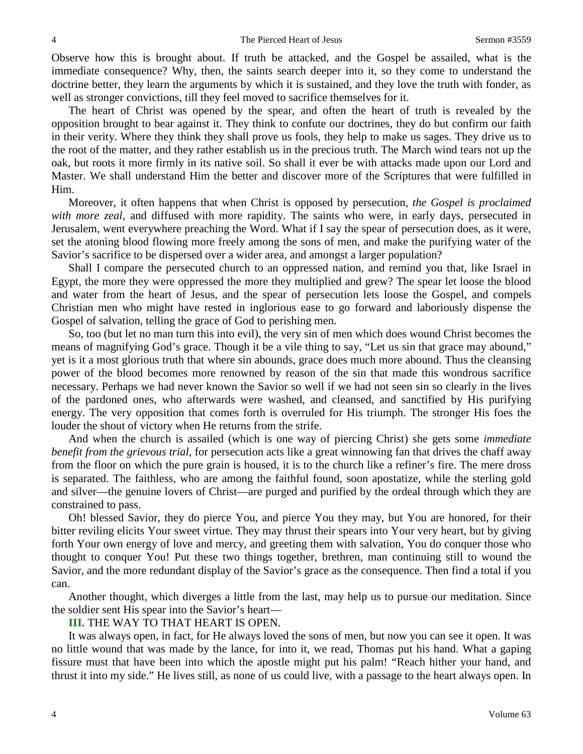Observe how this is brought about. If truth be attacked, and the Gospel be assailed, what is the immediate consequence? Why, then, the saints search deeper into it, so they come to understand the doctrine better, they learn the arguments by which it is sustained, and they love the truth with fonder, as well as stronger convictions, till they feel moved to sacrifice themselves for it.

The heart of Christ was opened by the spear, and often the heart of truth is revealed by the opposition brought to bear against it. They think to confute our doctrines, they do but confirm our faith in their verity. Where they think they shall prove us fools, they help to make us sages. They drive us to the root of the matter, and they rather establish us in the precious truth. The March wind tears not up the oak, but roots it more firmly in its native soil. So shall it ever be with attacks made upon our Lord and Master. We shall understand Him the better and discover more of the Scriptures that were fulfilled in Him.

Moreover, it often happens that when Christ is opposed by persecution, *the Gospel is proclaimed with more zeal,* and diffused with more rapidity. The saints who were, in early days, persecuted in Jerusalem, went everywhere preaching the Word. What if I say the spear of persecution does, as it were, set the atoning blood flowing more freely among the sons of men, and make the purifying water of the Savior's sacrifice to be dispersed over a wider area, and amongst a larger population?

Shall I compare the persecuted church to an oppressed nation, and remind you that, like Israel in Egypt, the more they were oppressed the more they multiplied and grew? The spear let loose the blood and water from the heart of Jesus, and the spear of persecution lets loose the Gospel, and compels Christian men who might have rested in inglorious ease to go forward and laboriously dispense the Gospel of salvation, telling the grace of God to perishing men.

So, too (but let no man turn this into evil), the very sin of men which does wound Christ becomes the means of magnifying God's grace. Though it be a vile thing to say, "Let us sin that grace may abound," yet is it a most glorious truth that where sin abounds, grace does much more abound. Thus the cleansing power of the blood becomes more renowned by reason of the sin that made this wondrous sacrifice necessary. Perhaps we had never known the Savior so well if we had not seen sin so clearly in the lives of the pardoned ones, who afterwards were washed, and cleansed, and sanctified by His purifying energy. The very opposition that comes forth is overruled for His triumph. The stronger His foes the louder the shout of victory when He returns from the strife.

And when the church is assailed (which is one way of piercing Christ) she gets some *immediate benefit from the grievous trial,* for persecution acts like a great winnowing fan that drives the chaff away from the floor on which the pure grain is housed, it is to the church like a refiner's fire. The mere dross is separated. The faithless, who are among the faithful found, soon apostatize, while the sterling gold and silver—the genuine lovers of Christ—are purged and purified by the ordeal through which they are constrained to pass.

Oh! blessed Savior, they do pierce You, and pierce You they may, but You are honored, for their bitter reviling elicits Your sweet virtue. They may thrust their spears into Your very heart, but by giving forth Your own energy of love and mercy, and greeting them with salvation, You do conquer those who thought to conquer You! Put these two things together, brethren, man continuing still to wound the Savior, and the more redundant display of the Savior's grace as the consequence. Then find a total if you can.

Another thought, which diverges a little from the last, may help us to pursue our meditation. Since the soldier sent His spear into the Savior's heart—

#### **III.** THE WAY TO THAT HEART IS OPEN.

It was always open, in fact, for He always loved the sons of men, but now you can see it open. It was no little wound that was made by the lance, for into it, we read, Thomas put his hand. What a gaping fissure must that have been into which the apostle might put his palm! "Reach hither your hand, and thrust it into my side." He lives still, as none of us could live, with a passage to the heart always open. In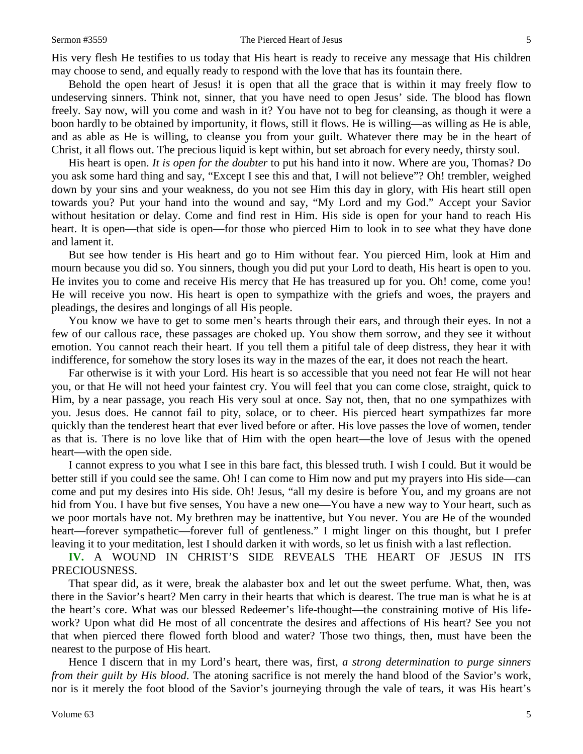His very flesh He testifies to us today that His heart is ready to receive any message that His children may choose to send, and equally ready to respond with the love that has its fountain there.

Behold the open heart of Jesus! it is open that all the grace that is within it may freely flow to undeserving sinners. Think not, sinner, that you have need to open Jesus' side. The blood has flown freely. Say now, will you come and wash in it? You have not to beg for cleansing, as though it were a boon hardly to be obtained by importunity, it flows, still it flows. He is willing—as willing as He is able, and as able as He is willing, to cleanse you from your guilt. Whatever there may be in the heart of Christ, it all flows out. The precious liquid is kept within, but set abroach for every needy, thirsty soul.

His heart is open. *It is open for the doubter* to put his hand into it now. Where are you, Thomas? Do you ask some hard thing and say, "Except I see this and that, I will not believe"? Oh! trembler, weighed down by your sins and your weakness, do you not see Him this day in glory, with His heart still open towards you? Put your hand into the wound and say, "My Lord and my God." Accept your Savior without hesitation or delay. Come and find rest in Him. His side is open for your hand to reach His heart. It is open—that side is open—for those who pierced Him to look in to see what they have done and lament it.

But see how tender is His heart and go to Him without fear. You pierced Him, look at Him and mourn because you did so. You sinners, though you did put your Lord to death, His heart is open to you. He invites you to come and receive His mercy that He has treasured up for you. Oh! come, come you! He will receive you now. His heart is open to sympathize with the griefs and woes, the prayers and pleadings, the desires and longings of all His people.

You know we have to get to some men's hearts through their ears, and through their eyes. In not a few of our callous race, these passages are choked up. You show them sorrow, and they see it without emotion. You cannot reach their heart. If you tell them a pitiful tale of deep distress, they hear it with indifference, for somehow the story loses its way in the mazes of the ear, it does not reach the heart.

Far otherwise is it with your Lord. His heart is so accessible that you need not fear He will not hear you, or that He will not heed your faintest cry. You will feel that you can come close, straight, quick to Him, by a near passage, you reach His very soul at once. Say not, then, that no one sympathizes with you. Jesus does. He cannot fail to pity, solace, or to cheer. His pierced heart sympathizes far more quickly than the tenderest heart that ever lived before or after. His love passes the love of women, tender as that is. There is no love like that of Him with the open heart—the love of Jesus with the opened heart—with the open side.

I cannot express to you what I see in this bare fact, this blessed truth. I wish I could. But it would be better still if you could see the same. Oh! I can come to Him now and put my prayers into His side—can come and put my desires into His side. Oh! Jesus, "all my desire is before You, and my groans are not hid from You. I have but five senses, You have a new one—You have a new way to Your heart, such as we poor mortals have not. My brethren may be inattentive, but You never. You are He of the wounded heart—forever sympathetic—forever full of gentleness." I might linger on this thought, but I prefer leaving it to your meditation, lest I should darken it with words, so let us finish with a last reflection.

**IV.** A WOUND IN CHRIST'S SIDE REVEALS THE HEART OF JESUS IN ITS PRECIOUSNESS.

That spear did, as it were, break the alabaster box and let out the sweet perfume. What, then, was there in the Savior's heart? Men carry in their hearts that which is dearest. The true man is what he is at the heart's core. What was our blessed Redeemer's life-thought—the constraining motive of His lifework? Upon what did He most of all concentrate the desires and affections of His heart? See you not that when pierced there flowed forth blood and water? Those two things, then, must have been the nearest to the purpose of His heart.

Hence I discern that in my Lord's heart, there was, first, *a strong determination to purge sinners from their guilt by His blood*. The atoning sacrifice is not merely the hand blood of the Savior's work, nor is it merely the foot blood of the Savior's journeying through the vale of tears, it was His heart's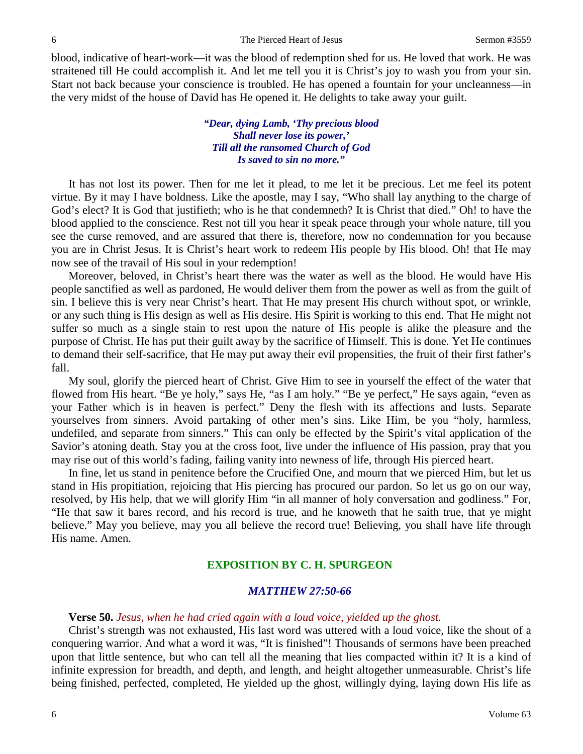blood, indicative of heart-work—it was the blood of redemption shed for us. He loved that work. He was straitened till He could accomplish it. And let me tell you it is Christ's joy to wash you from your sin. Start not back because your conscience is troubled. He has opened a fountain for your uncleanness—in the very midst of the house of David has He opened it. He delights to take away your guilt.

## *"Dear, dying Lamb, 'Thy precious blood Shall never lose its power,' Till all the ransomed Church of God Is saved to sin no more."*

It has not lost its power. Then for me let it plead, to me let it be precious. Let me feel its potent virtue. By it may I have boldness. Like the apostle, may I say, "Who shall lay anything to the charge of God's elect? It is God that justifieth; who is he that condemneth? It is Christ that died." Oh! to have the blood applied to the conscience. Rest not till you hear it speak peace through your whole nature, till you see the curse removed, and are assured that there is, therefore, now no condemnation for you because you are in Christ Jesus. It is Christ's heart work to redeem His people by His blood. Oh! that He may now see of the travail of His soul in your redemption!

Moreover, beloved, in Christ's heart there was the water as well as the blood. He would have His people sanctified as well as pardoned, He would deliver them from the power as well as from the guilt of sin. I believe this is very near Christ's heart. That He may present His church without spot, or wrinkle, or any such thing is His design as well as His desire. His Spirit is working to this end. That He might not suffer so much as a single stain to rest upon the nature of His people is alike the pleasure and the purpose of Christ. He has put their guilt away by the sacrifice of Himself. This is done. Yet He continues to demand their self-sacrifice, that He may put away their evil propensities, the fruit of their first father's fall.

My soul, glorify the pierced heart of Christ. Give Him to see in yourself the effect of the water that flowed from His heart. "Be ye holy," says He, "as I am holy." "Be ye perfect," He says again, "even as your Father which is in heaven is perfect." Deny the flesh with its affections and lusts. Separate yourselves from sinners. Avoid partaking of other men's sins. Like Him, be you "holy, harmless, undefiled, and separate from sinners." This can only be effected by the Spirit's vital application of the Savior's atoning death. Stay you at the cross foot, live under the influence of His passion, pray that you may rise out of this world's fading, failing vanity into newness of life, through His pierced heart.

In fine, let us stand in penitence before the Crucified One, and mourn that we pierced Him, but let us stand in His propitiation, rejoicing that His piercing has procured our pardon. So let us go on our way, resolved, by His help, that we will glorify Him "in all manner of holy conversation and godliness." For, "He that saw it bares record, and his record is true, and he knoweth that he saith true, that ye might believe." May you believe, may you all believe the record true! Believing, you shall have life through His name. Amen.

## **EXPOSITION BY C. H. SPURGEON**

## *MATTHEW 27:50-66*

## **Verse 50.** *Jesus, when he had cried again with a loud voice, yielded up the ghost.*

Christ's strength was not exhausted, His last word was uttered with a loud voice, like the shout of a conquering warrior. And what a word it was, "It is finished"! Thousands of sermons have been preached upon that little sentence, but who can tell all the meaning that lies compacted within it? It is a kind of infinite expression for breadth, and depth, and length, and height altogether unmeasurable. Christ's life being finished, perfected, completed, He yielded up the ghost, willingly dying, laying down His life as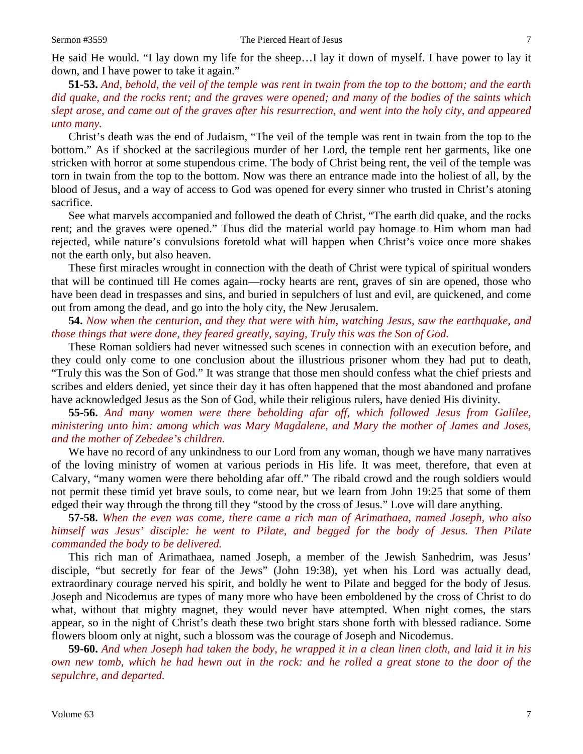He said He would. "I lay down my life for the sheep…I lay it down of myself. I have power to lay it down, and I have power to take it again."

**51-53.** *And, behold, the veil of the temple was rent in twain from the top to the bottom; and the earth did quake, and the rocks rent; and the graves were opened; and many of the bodies of the saints which slept arose, and came out of the graves after his resurrection, and went into the holy city, and appeared unto many.* 

Christ's death was the end of Judaism, "The veil of the temple was rent in twain from the top to the bottom." As if shocked at the sacrilegious murder of her Lord, the temple rent her garments, like one stricken with horror at some stupendous crime. The body of Christ being rent, the veil of the temple was torn in twain from the top to the bottom. Now was there an entrance made into the holiest of all, by the blood of Jesus, and a way of access to God was opened for every sinner who trusted in Christ's atoning sacrifice.

See what marvels accompanied and followed the death of Christ, "The earth did quake, and the rocks rent; and the graves were opened." Thus did the material world pay homage to Him whom man had rejected, while nature's convulsions foretold what will happen when Christ's voice once more shakes not the earth only, but also heaven.

These first miracles wrought in connection with the death of Christ were typical of spiritual wonders that will be continued till He comes again—rocky hearts are rent, graves of sin are opened, those who have been dead in trespasses and sins, and buried in sepulchers of lust and evil, are quickened, and come out from among the dead, and go into the holy city, the New Jerusalem.

**54.** *Now when the centurion, and they that were with him, watching Jesus, saw the earthquake, and those things that were done, they feared greatly, saying, Truly this was the Son of God.*

These Roman soldiers had never witnessed such scenes in connection with an execution before, and they could only come to one conclusion about the illustrious prisoner whom they had put to death, "Truly this was the Son of God." It was strange that those men should confess what the chief priests and scribes and elders denied, yet since their day it has often happened that the most abandoned and profane have acknowledged Jesus as the Son of God, while their religious rulers, have denied His divinity.

**55-56.** *And many women were there beholding afar off, which followed Jesus from Galilee, ministering unto him: among which was Mary Magdalene, and Mary the mother of James and Joses, and the mother of Zebedee's children.*

We have no record of any unkindness to our Lord from any woman, though we have many narratives of the loving ministry of women at various periods in His life. It was meet, therefore, that even at Calvary, "many women were there beholding afar off." The ribald crowd and the rough soldiers would not permit these timid yet brave souls, to come near, but we learn from John 19:25 that some of them edged their way through the throng till they "stood by the cross of Jesus." Love will dare anything.

**57-58.** *When the even was come, there came a rich man of Arimathaea, named Joseph, who also himself was Jesus' disciple: he went to Pilate, and begged for the body of Jesus. Then Pilate commanded the body to be delivered.* 

This rich man of Arimathaea, named Joseph, a member of the Jewish Sanhedrim, was Jesus' disciple, "but secretly for fear of the Jews" (John 19:38), yet when his Lord was actually dead, extraordinary courage nerved his spirit, and boldly he went to Pilate and begged for the body of Jesus. Joseph and Nicodemus are types of many more who have been emboldened by the cross of Christ to do what, without that mighty magnet, they would never have attempted. When night comes, the stars appear, so in the night of Christ's death these two bright stars shone forth with blessed radiance. Some flowers bloom only at night, such a blossom was the courage of Joseph and Nicodemus.

**59-60.** *And when Joseph had taken the body, he wrapped it in a clean linen cloth, and laid it in his own new tomb, which he had hewn out in the rock: and he rolled a great stone to the door of the sepulchre, and departed.*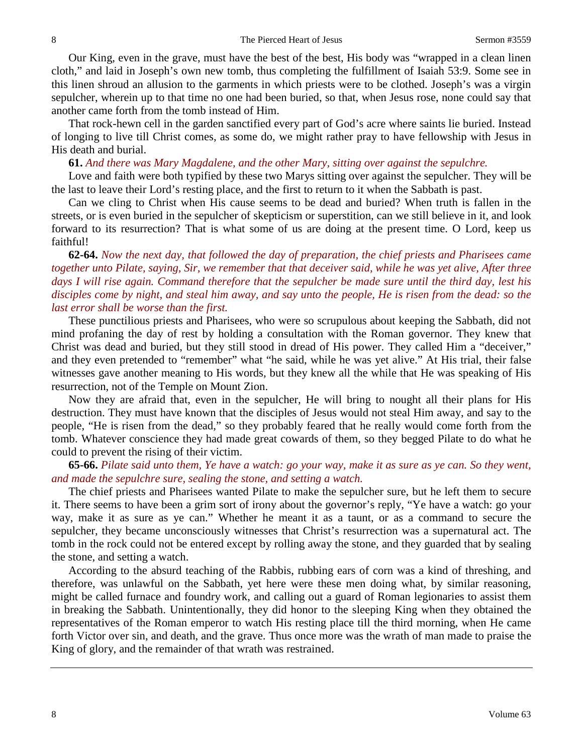Our King, even in the grave, must have the best of the best, His body was "wrapped in a clean linen cloth," and laid in Joseph's own new tomb, thus completing the fulfillment of Isaiah 53:9. Some see in this linen shroud an allusion to the garments in which priests were to be clothed. Joseph's was a virgin sepulcher, wherein up to that time no one had been buried, so that, when Jesus rose, none could say that another came forth from the tomb instead of Him.

That rock-hewn cell in the garden sanctified every part of God's acre where saints lie buried. Instead of longing to live till Christ comes, as some do, we might rather pray to have fellowship with Jesus in His death and burial.

#### **61.** *And there was Mary Magdalene, and the other Mary, sitting over against the sepulchre.*

Love and faith were both typified by these two Marys sitting over against the sepulcher. They will be the last to leave their Lord's resting place, and the first to return to it when the Sabbath is past.

Can we cling to Christ when His cause seems to be dead and buried? When truth is fallen in the streets, or is even buried in the sepulcher of skepticism or superstition, can we still believe in it, and look forward to its resurrection? That is what some of us are doing at the present time. O Lord, keep us faithful!

**62-64.** *Now the next day, that followed the day of preparation, the chief priests and Pharisees came together unto Pilate, saying, Sir, we remember that that deceiver said, while he was yet alive, After three days I will rise again. Command therefore that the sepulcher be made sure until the third day, lest his disciples come by night, and steal him away, and say unto the people, He is risen from the dead: so the last error shall be worse than the first.* 

These punctilious priests and Pharisees, who were so scrupulous about keeping the Sabbath, did not mind profaning the day of rest by holding a consultation with the Roman governor. They knew that Christ was dead and buried, but they still stood in dread of His power. They called Him a "deceiver," and they even pretended to "remember" what "he said, while he was yet alive." At His trial, their false witnesses gave another meaning to His words, but they knew all the while that He was speaking of His resurrection, not of the Temple on Mount Zion.

Now they are afraid that, even in the sepulcher, He will bring to nought all their plans for His destruction. They must have known that the disciples of Jesus would not steal Him away, and say to the people, "He is risen from the dead," so they probably feared that he really would come forth from the tomb. Whatever conscience they had made great cowards of them, so they begged Pilate to do what he could to prevent the rising of their victim.

## **65-66.** *Pilate said unto them, Ye have a watch: go your way, make it as sure as ye can. So they went, and made the sepulchre sure, sealing the stone, and setting a watch.*

The chief priests and Pharisees wanted Pilate to make the sepulcher sure, but he left them to secure it. There seems to have been a grim sort of irony about the governor's reply, "Ye have a watch: go your way, make it as sure as ye can." Whether he meant it as a taunt, or as a command to secure the sepulcher, they became unconsciously witnesses that Christ's resurrection was a supernatural act. The tomb in the rock could not be entered except by rolling away the stone, and they guarded that by sealing the stone, and setting a watch.

According to the absurd teaching of the Rabbis, rubbing ears of corn was a kind of threshing, and therefore, was unlawful on the Sabbath, yet here were these men doing what, by similar reasoning, might be called furnace and foundry work, and calling out a guard of Roman legionaries to assist them in breaking the Sabbath. Unintentionally, they did honor to the sleeping King when they obtained the representatives of the Roman emperor to watch His resting place till the third morning, when He came forth Victor over sin, and death, and the grave. Thus once more was the wrath of man made to praise the King of glory, and the remainder of that wrath was restrained.